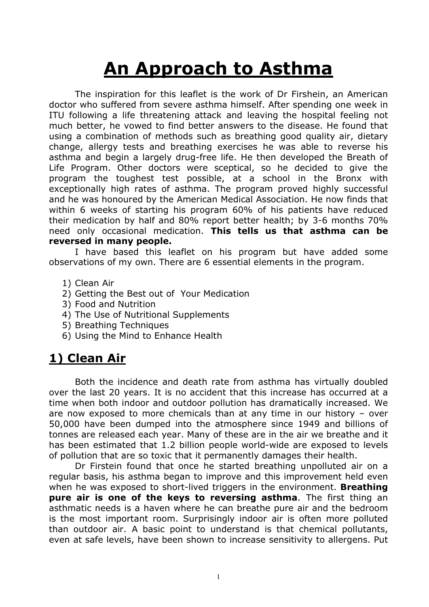# An Approach to Asthma

The inspiration for this leaflet is the work of Dr Firshein, an American doctor who suffered from severe asthma himself. After spending one week in ITU following a life threatening attack and leaving the hospital feeling not much better, he vowed to find better answers to the disease. He found that using a combination of methods such as breathing good quality air, dietary change, allergy tests and breathing exercises he was able to reverse his asthma and begin a largely drug-free life. He then developed the Breath of Life Program. Other doctors were sceptical, so he decided to give the program the toughest test possible, at a school in the Bronx with exceptionally high rates of asthma. The program proved highly successful and he was honoured by the American Medical Association. He now finds that within 6 weeks of starting his program 60% of his patients have reduced their medication by half and 80% report better health; by 3-6 months 70% need only occasional medication. This tells us that asthma can be reversed in many people.

I have based this leaflet on his program but have added some observations of my own. There are 6 essential elements in the program.

- 1) Clean Air
- 2) Getting the Best out of Your Medication
- 3) Food and Nutrition
- 4) The Use of Nutritional Supplements
- 5) Breathing Techniques
- 6) Using the Mind to Enhance Health

# 1) Clean Air

Both the incidence and death rate from asthma has virtually doubled over the last 20 years. It is no accident that this increase has occurred at a time when both indoor and outdoor pollution has dramatically increased. We are now exposed to more chemicals than at any time in our history – over 50,000 have been dumped into the atmosphere since 1949 and billions of tonnes are released each year. Many of these are in the air we breathe and it has been estimated that 1.2 billion people world-wide are exposed to levels of pollution that are so toxic that it permanently damages their health.

Dr Firstein found that once he started breathing unpolluted air on a regular basis, his asthma began to improve and this improvement held even when he was exposed to short-lived triggers in the environment. **Breathing** pure air is one of the keys to reversing asthma. The first thing an asthmatic needs is a haven where he can breathe pure air and the bedroom is the most important room. Surprisingly indoor air is often more polluted than outdoor air. A basic point to understand is that chemical pollutants, even at safe levels, have been shown to increase sensitivity to allergens. Put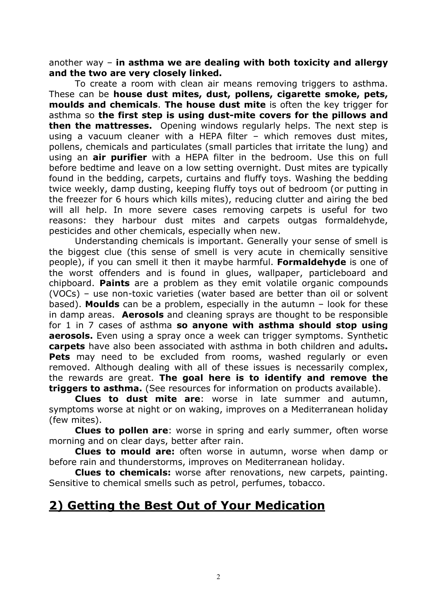another way – in asthma we are dealing with both toxicity and allergy and the two are very closely linked.

To create a room with clean air means removing triggers to asthma. These can be house dust mites, dust, pollens, cigarette smoke, pets, moulds and chemicals. The house dust mite is often the key trigger for asthma so the first step is using dust-mite covers for the pillows and **then the mattresses.** Opening windows regularly helps. The next step is using a vacuum cleaner with a HEPA filter – which removes dust mites, pollens, chemicals and particulates (small particles that irritate the lung) and using an **air purifier** with a HEPA filter in the bedroom. Use this on full before bedtime and leave on a low setting overnight. Dust mites are typically found in the bedding, carpets, curtains and fluffy toys. Washing the bedding twice weekly, damp dusting, keeping fluffy toys out of bedroom (or putting in the freezer for 6 hours which kills mites), reducing clutter and airing the bed will all help. In more severe cases removing carpets is useful for two reasons: they harbour dust mites and carpets outgas formaldehyde, pesticides and other chemicals, especially when new.

Understanding chemicals is important. Generally your sense of smell is the biggest clue (this sense of smell is very acute in chemically sensitive people), if you can smell it then it maybe harmful. Formaldehyde is one of the worst offenders and is found in glues, wallpaper, particleboard and chipboard. Paints are a problem as they emit volatile organic compounds (VOCs) – use non-toxic varieties (water based are better than oil or solvent based). Moulds can be a problem, especially in the autumn  $-$  look for these in damp areas. **Aerosols** and cleaning sprays are thought to be responsible for 1 in 7 cases of asthma so anyone with asthma should stop using aerosols. Even using a spray once a week can trigger symptoms. Synthetic carpets have also been associated with asthma in both children and adults. **Pets** may need to be excluded from rooms, washed regularly or even removed. Although dealing with all of these issues is necessarily complex, the rewards are great. The goal here is to identify and remove the triggers to asthma. (See resources for information on products available).

Clues to dust mite are: worse in late summer and autumn, symptoms worse at night or on waking, improves on a Mediterranean holiday (few mites).

**Clues to pollen are:** worse in spring and early summer, often worse morning and on clear days, better after rain.

Clues to mould are: often worse in autumn, worse when damp or before rain and thunderstorms, improves on Mediterranean holiday.

Clues to chemicals: worse after renovations, new carpets, painting. Sensitive to chemical smells such as petrol, perfumes, tobacco.

## 2) Getting the Best Out of Your Medication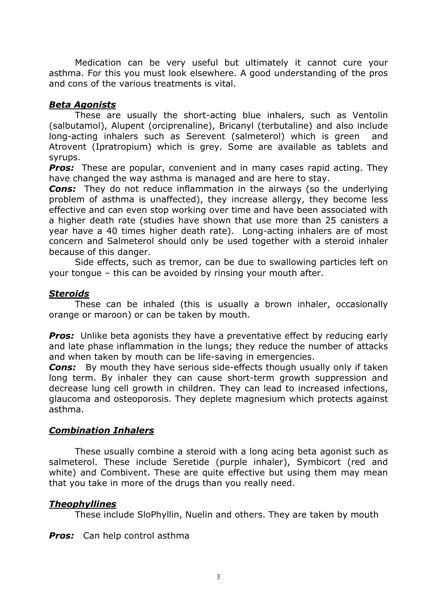Medication can be very useful but ultimately it cannot cure your asthma. For this you must look elsewhere. A good understanding of the pros and cons of the various treatments is vital.

#### Beta Agonists

 These are usually the short-acting blue inhalers, such as Ventolin (salbutamol), Alupent (orciprenaline), Bricanyl (terbutaline) and also include long-acting inhalers such as Serevent (salmeterol) which is green and Atrovent (Ipratropium) which is grey. Some are available as tablets and syrups.

**Pros:** These are popular, convenient and in many cases rapid acting. They have changed the way asthma is managed and are here to stay.

**Cons:** They do not reduce inflammation in the airways (so the underlying problem of asthma is unaffected), they increase allergy, they become less effective and can even stop working over time and have been associated with a higher death rate (studies have shown that use more than 25 canisters a year have a 40 times higher death rate). Long-acting inhalers are of most concern and Salmeterol should only be used together with a steroid inhaler because of this danger.

 Side effects, such as tremor, can be due to swallowing particles left on your tongue – this can be avoided by rinsing your mouth after.

#### **Steroids**

 These can be inhaled (this is usually a brown inhaler, occasionally orange or maroon) or can be taken by mouth.

**Pros:** Unlike beta agonists they have a preventative effect by reducing early and late phase inflammation in the lungs; they reduce the number of attacks and when taken by mouth can be life-saving in emergencies.

**Cons:** By mouth they have serious side-effects though usually only if taken long term. By inhaler they can cause short-term growth suppression and decrease lung cell growth in children. They can lead to increased infections, glaucoma and osteoporosis. They deplete magnesium which protects against asthma.

#### Combination Inhalers

 These usually combine a steroid with a long acing beta agonist such as salmeterol. These include Seretide (purple inhaler), Symbicort (red and white) and Combivent. These are quite effective but using them may mean that you take in more of the drugs than you really need.

#### Theophyllines

These include SloPhyllin, Nuelin and others. They are taken by mouth

**Pros:** Can help control asthma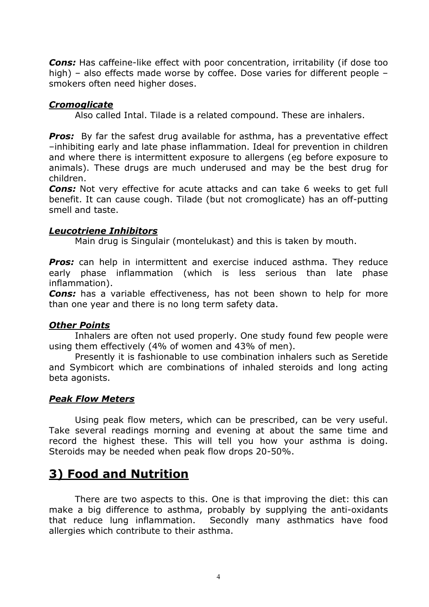**Cons:** Has caffeine-like effect with poor concentration, irritability (if dose too high) – also effects made worse by coffee. Dose varies for different people – smokers often need higher doses.

#### **Cromoglicate**

Also called Intal. Tilade is a related compound. These are inhalers.

**Pros:** By far the safest drug available for asthma, has a preventative effect –inhibiting early and late phase inflammation. Ideal for prevention in children and where there is intermittent exposure to allergens (eg before exposure to animals). These drugs are much underused and may be the best drug for children.

**Cons:** Not very effective for acute attacks and can take 6 weeks to get full benefit. It can cause cough. Tilade (but not cromoglicate) has an off-putting smell and taste.

#### Leucotriene Inhibitors

Main drug is Singulair (montelukast) and this is taken by mouth.

Pros: can help in intermittent and exercise induced asthma. They reduce early phase inflammation (which is less serious than late phase inflammation).

**Cons:** has a variable effectiveness, has not been shown to help for more than one year and there is no long term safety data.

#### Other Points

 Inhalers are often not used properly. One study found few people were using them effectively (4% of women and 43% of men).

 Presently it is fashionable to use combination inhalers such as Seretide and Symbicort which are combinations of inhaled steroids and long acting beta agonists.

#### Peak Flow Meters

 Using peak flow meters, which can be prescribed, can be very useful. Take several readings morning and evening at about the same time and record the highest these. This will tell you how your asthma is doing. Steroids may be needed when peak flow drops 20-50%.

## 3) Food and Nutrition

There are two aspects to this. One is that improving the diet: this can make a big difference to asthma, probably by supplying the anti-oxidants that reduce lung inflammation. Secondly many asthmatics have food allergies which contribute to their asthma.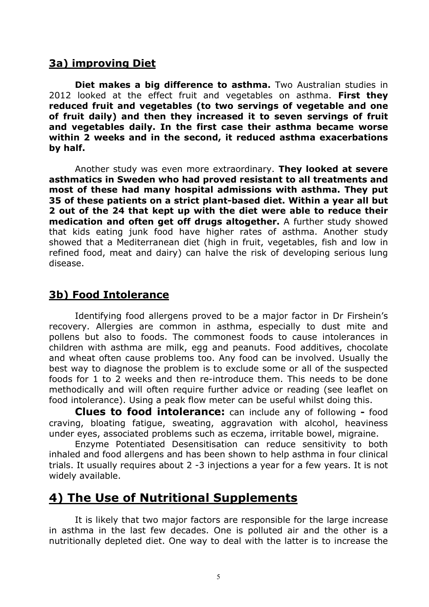## 3a) improving Diet

Diet makes a big difference to asthma. Two Australian studies in 2012 looked at the effect fruit and vegetables on asthma. First they reduced fruit and vegetables (to two servings of vegetable and one of fruit daily) and then they increased it to seven servings of fruit and vegetables daily. In the first case their asthma became worse within 2 weeks and in the second, it reduced asthma exacerbations by half.

Another study was even more extraordinary. They looked at severe asthmatics in Sweden who had proved resistant to all treatments and most of these had many hospital admissions with asthma. They put 35 of these patients on a strict plant-based diet. Within a year all but 2 out of the 24 that kept up with the diet were able to reduce their medication and often get off drugs altogether. A further study showed that kids eating junk food have higher rates of asthma. Another study showed that a Mediterranean diet (high in fruit, vegetables, fish and low in refined food, meat and dairy) can halve the risk of developing serious lung disease.

### 3b) Food Intolerance

Identifying food allergens proved to be a major factor in Dr Firshein's recovery. Allergies are common in asthma, especially to dust mite and pollens but also to foods. The commonest foods to cause intolerances in children with asthma are milk, egg and peanuts. Food additives, chocolate and wheat often cause problems too. Any food can be involved. Usually the best way to diagnose the problem is to exclude some or all of the suspected foods for 1 to 2 weeks and then re-introduce them. This needs to be done methodically and will often require further advice or reading (see leaflet on food intolerance). Using a peak flow meter can be useful whilst doing this.

Clues to food intolerance: can include any of following - food craving, bloating fatigue, sweating, aggravation with alcohol, heaviness under eyes, associated problems such as eczema, irritable bowel, migraine.

 Enzyme Potentiated Desensitisation can reduce sensitivity to both inhaled and food allergens and has been shown to help asthma in four clinical trials. It usually requires about 2 -3 injections a year for a few years. It is not widely available.

## 4) The Use of Nutritional Supplements

It is likely that two major factors are responsible for the large increase in asthma in the last few decades. One is polluted air and the other is a nutritionally depleted diet. One way to deal with the latter is to increase the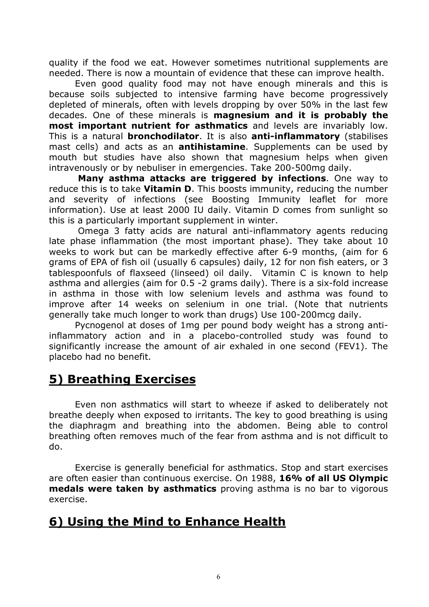quality if the food we eat. However sometimes nutritional supplements are needed. There is now a mountain of evidence that these can improve health.

Even good quality food may not have enough minerals and this is because soils subjected to intensive farming have become progressively depleted of minerals, often with levels dropping by over 50% in the last few decades. One of these minerals is magnesium and it is probably the most important nutrient for asthmatics and levels are invariably low. This is a natural **bronchodilator**. It is also **anti-inflammatory** (stabilises mast cells) and acts as an **antihistamine**. Supplements can be used by mouth but studies have also shown that magnesium helps when given intravenously or by nebuliser in emergencies. Take 200-500mg daily.

Many asthma attacks are triggered by infections. One way to reduce this is to take **Vitamin D**. This boosts immunity, reducing the number and severity of infections (see Boosting Immunity leaflet for more information). Use at least 2000 IU daily. Vitamin D comes from sunlight so this is a particularly important supplement in winter.

 Omega 3 fatty acids are natural anti-inflammatory agents reducing late phase inflammation (the most important phase). They take about 10 weeks to work but can be markedly effective after 6-9 months, (aim for 6 grams of EPA of fish oil (usually 6 capsules) daily, 12 for non fish eaters, or 3 tablespoonfuls of flaxseed (linseed) oil daily. Vitamin C is known to help asthma and allergies (aim for 0.5 -2 grams daily). There is a six-fold increase in asthma in those with low selenium levels and asthma was found to improve after 14 weeks on selenium in one trial. (Note that nutrients generally take much longer to work than drugs) Use 100-200mcg daily.

Pycnogenol at doses of 1mg per pound body weight has a strong antiinflammatory action and in a placebo-controlled study was found to significantly increase the amount of air exhaled in one second (FEV1). The placebo had no benefit.

## 5) Breathing Exercises

Even non asthmatics will start to wheeze if asked to deliberately not breathe deeply when exposed to irritants. The key to good breathing is using the diaphragm and breathing into the abdomen. Being able to control breathing often removes much of the fear from asthma and is not difficult to do.

 Exercise is generally beneficial for asthmatics. Stop and start exercises are often easier than continuous exercise. On 1988, 16% of all US Olympic medals were taken by asthmatics proving asthma is no bar to vigorous exercise.

## 6) Using the Mind to Enhance Health